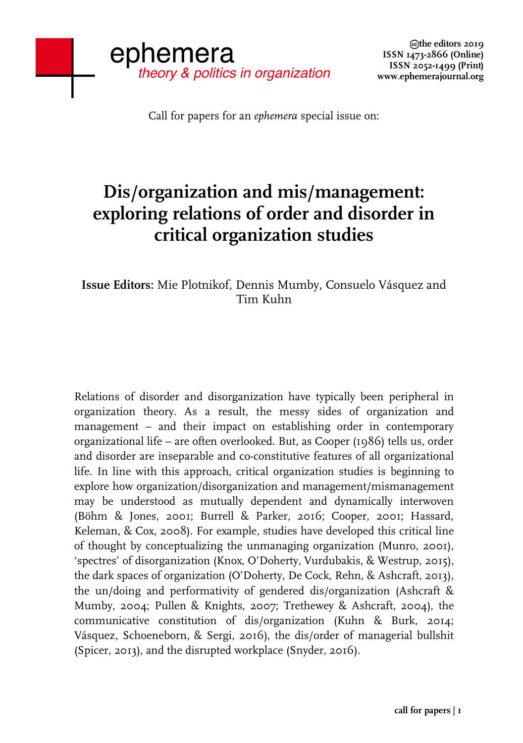Call for papers for an *ephemera* special issue on:

## **Dis/organization and mis/management: exploring relations of order and disorder in critical organization studies**

**Issue Editors:** Mie Plotnikof, Dennis Mumby, Consuelo Vásquez and Tim Kuhn

Relations of disorder and disorganization have typically been peripheral in organization theory. As a result, the messy sides of organization and management – and their impact on establishing order in contemporary organizational life – are often overlooked. But, as Cooper (1986) tells us, order and disorder are inseparable and co-constitutive features of all organizational life. In line with this approach, critical organization studies is beginning to explore how organization/disorganization and management/mismanagement may be understood as mutually dependent and dynamically interwoven (Böhm & Jones, 2001; Burrell & Parker, 2016; Cooper, 2001; Hassard, Keleman, & Cox, 2008). For example, studies have developed this critical line of thought by conceptualizing the unmanaging organization (Munro, 2001), 'spectres' of disorganization (Knox, O'Doherty, Vurdubakis, & Westrup, 2015), the dark spaces of organization (O'Doherty, De Cock, Rehn, & Ashcraft, 2013), the un/doing and performativity of gendered dis/organization (Ashcraft & Mumby, 2004; Pullen & Knights, 2007; Trethewey & Ashcraft, 2004), the communicative constitution of dis/organization (Kuhn & Burk, 2014; Vásquez, Schoeneborn, & Sergi, 2016), the dis/order of managerial bullshit (Spicer, 2013), and the disrupted workplace (Snyder, 2016).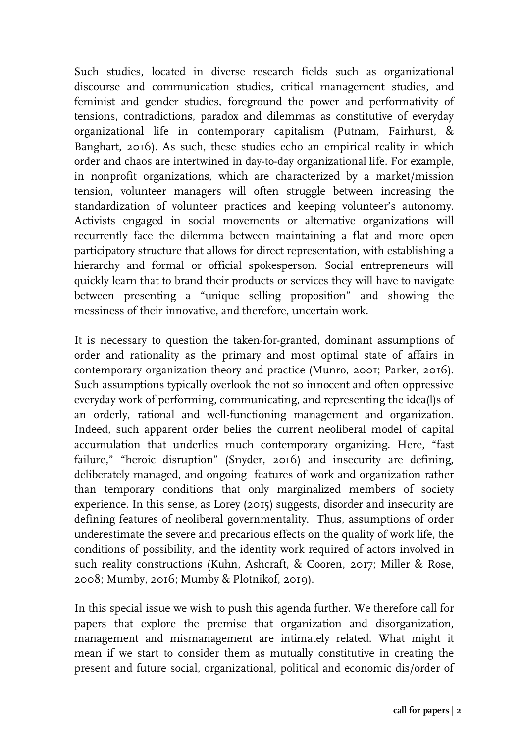Such studies, located in diverse research fields such as organizational discourse and communication studies, critical management studies, and feminist and gender studies, foreground the power and performativity of tensions, contradictions, paradox and dilemmas as constitutive of everyday organizational life in contemporary capitalism (Putnam, Fairhurst, & Banghart, 2016). As such, these studies echo an empirical reality in which order and chaos are intertwined in day-to-day organizational life. For example, in nonprofit organizations, which are characterized by a market/mission tension, volunteer managers will often struggle between increasing the standardization of volunteer practices and keeping volunteer's autonomy. Activists engaged in social movements or alternative organizations will recurrently face the dilemma between maintaining a flat and more open participatory structure that allows for direct representation, with establishing a hierarchy and formal or official spokesperson. Social entrepreneurs will quickly learn that to brand their products or services they will have to navigate between presenting a "unique selling proposition" and showing the messiness of their innovative, and therefore, uncertain work.

It is necessary to question the taken-for-granted, dominant assumptions of order and rationality as the primary and most optimal state of affairs in contemporary organization theory and practice (Munro, 2001; Parker, 2016). Such assumptions typically overlook the not so innocent and often oppressive everyday work of performing, communicating, and representing the idea(l)s of an orderly, rational and well-functioning management and organization. Indeed, such apparent order belies the current neoliberal model of capital accumulation that underlies much contemporary organizing. Here, "fast failure," "heroic disruption" (Snyder, 2016) and insecurity are defining, deliberately managed, and ongoing features of work and organization rather than temporary conditions that only marginalized members of society experience. In this sense, as Lorey (2015) suggests, disorder and insecurity are defining features of neoliberal governmentality. Thus, assumptions of order underestimate the severe and precarious effects on the quality of work life, the conditions of possibility, and the identity work required of actors involved in such reality constructions (Kuhn, Ashcraft, & Cooren, 2017; Miller & Rose, 2008; Mumby, 2016; Mumby & Plotnikof, 2019).

In this special issue we wish to push this agenda further. We therefore call for papers that explore the premise that organization and disorganization, management and mismanagement are intimately related. What might it mean if we start to consider them as mutually constitutive in creating the present and future social, organizational, political and economic dis/order of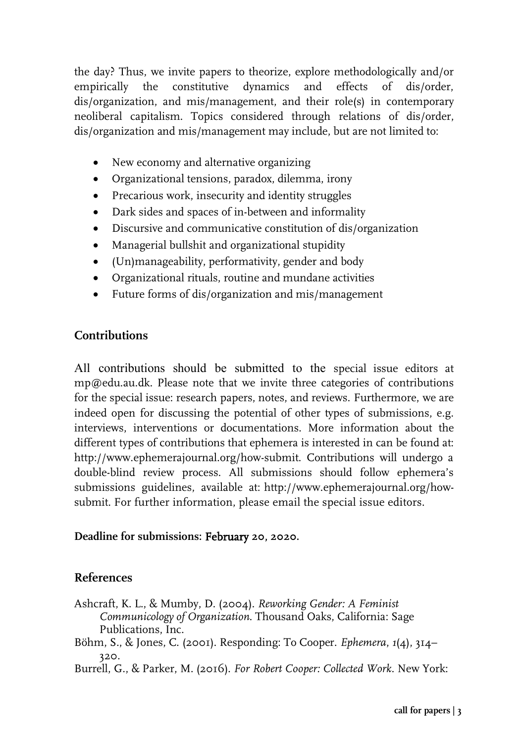the day? Thus, we invite papers to theorize, explore methodologically and/or empirically the constitutive dynamics and effects of dis/order, dis/organization, and mis/management, and their role(s) in contemporary neoliberal capitalism. Topics considered through relations of dis/order, dis/organization and mis/management may include, but are not limited to:

- New economy and alternative organizing
- Organizational tensions, paradox, dilemma, irony
- Precarious work, insecurity and identity struggles
- Dark sides and spaces of in-between and informality
- Discursive and communicative constitution of dis/organization
- Managerial bullshit and organizational stupidity
- (Un)manageability, performativity, gender and body
- Organizational rituals, routine and mundane activities
- Future forms of dis/organization and mis/management

## **Contributions**

All contributions should be submitted to the special issue editors at mp@edu.au.dk. Please note that we invite three categories of contributions for the special issue: research papers, notes, and reviews. Furthermore, we are indeed open for discussing the potential of other types of submissions, e.g. interviews, interventions or documentations. More information about the different types of contributions that ephemera is interested in can be found at: http://www.ephemerajournal.org/how-submit. Contributions will undergo a double-blind review process. All submissions should follow ephemera's submissions guidelines, available at: http://www.ephemerajournal.org/howsubmit. For further information, please email the special issue editors.

## **Deadline for submissions:** February **20, 2020.**

## **References**

- Ashcraft, K. L., & Mumby, D. (2004). *Reworking Gender: A Feminist Communicology of Organization*. Thousand Oaks, California: Sage Publications, Inc.
- Böhm, S., & Jones, C. (2001). Responding: To Cooper. *Ephemera*, *1*(4), 314– 320.

Burrell, G., & Parker, M. (2016). *For Robert Cooper: Collected Work*. New York: